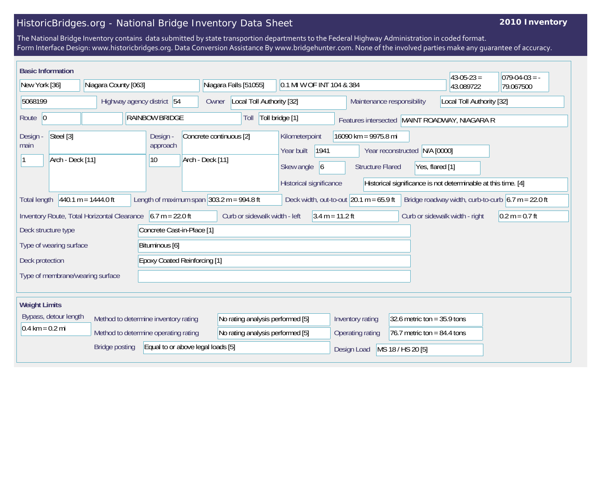## HistoricBridges.org - National Bridge Inventory Data Sheet

## **2010 Inventory**

The National Bridge Inventory contains data submitted by state transportion departments to the Federal Highway Administration in coded format. Form Interface Design: www.historicbridges.org. Data Conversion Assistance By www.bridgehunter.com. None of the involved parties make any guarantee of accuracy.

| <b>Basic Information</b>                                                                                                                                                                                                                             |  |                                     |                                      |                                  |                                             |                           |                                                                                          |                                                 |                                                     | $43 - 05 - 23 =$          | $ 079-04-03$ = - |
|------------------------------------------------------------------------------------------------------------------------------------------------------------------------------------------------------------------------------------------------------|--|-------------------------------------|--------------------------------------|----------------------------------|---------------------------------------------|---------------------------|------------------------------------------------------------------------------------------|-------------------------------------------------|-----------------------------------------------------|---------------------------|------------------|
| New York [36]                                                                                                                                                                                                                                        |  | Niagara County [063]                |                                      |                                  |                                             | Niagara Falls [51055]     |                                                                                          | 0.1 MI W OF INT 104 & 384                       |                                                     | 43.089722                 | 79.067500        |
| 5068199                                                                                                                                                                                                                                              |  | Highway agency district 54          |                                      |                                  | Owner                                       | Local Toll Authority [32] |                                                                                          |                                                 | Maintenance responsibility                          | Local Toll Authority [32] |                  |
| Route $\vert$ 0                                                                                                                                                                                                                                      |  |                                     | <b>RAINBOW BRIDGE</b>                |                                  | Toll bridge [1]<br>Toll                     |                           |                                                                                          | Features intersected MAINT ROADWAY, NIAGARA R   |                                                     |                           |                  |
| Steel [3]<br>Design -<br>main<br>Arch - Deck [11]                                                                                                                                                                                                    |  |                                     | Design -<br>approach<br>$ 10\rangle$ |                                  | Concrete continuous [2]<br>Arch - Deck [11] |                           | Kilometerpoint<br>1941<br>Year built<br>Skew angle $\vert 6 \vert$                       | 16090 km = 9975.8 mi<br><b>Structure Flared</b> | N/A [0000]<br>Year reconstructed<br>Yes, flared [1] |                           |                  |
|                                                                                                                                                                                                                                                      |  |                                     |                                      |                                  |                                             |                           | Historical significance<br>Historical significance is not determinable at this time. [4] |                                                 |                                                     |                           |                  |
| Length of maximum span $ 303.2 \text{ m} = 994.8 \text{ ft} $<br>$440.1 m = 1444.0 ft$<br>Deck width, out-to-out $ 20.1 \text{ m} = 65.9 \text{ ft} $<br>Bridge roadway width, curb-to-curb $6.7 \text{ m} = 22.0 \text{ ft}$<br><b>Total length</b> |  |                                     |                                      |                                  |                                             |                           |                                                                                          |                                                 |                                                     |                           |                  |
| Inventory Route, Total Horizontal Clearance                                                                                                                                                                                                          |  | $6.7 m = 22.0 ft$                   | Curb or sidewalk width - left        |                                  |                                             | $3.4 m = 11.2 ft$         |                                                                                          | Curb or sidewalk width - right                  | $0.2 m = 0.7 ft$                                    |                           |                  |
| Concrete Cast-in-Place [1]<br>Deck structure type                                                                                                                                                                                                    |  |                                     |                                      |                                  |                                             |                           |                                                                                          |                                                 |                                                     |                           |                  |
| Type of wearing surface                                                                                                                                                                                                                              |  | Bituminous [6]                      |                                      |                                  |                                             |                           |                                                                                          |                                                 |                                                     |                           |                  |
| Deck protection                                                                                                                                                                                                                                      |  | <b>Epoxy Coated Reinforcing [1]</b> |                                      |                                  |                                             |                           |                                                                                          |                                                 |                                                     |                           |                  |
| Type of membrane/wearing surface                                                                                                                                                                                                                     |  |                                     |                                      |                                  |                                             |                           |                                                                                          |                                                 |                                                     |                           |                  |
| <b>Weight Limits</b>                                                                                                                                                                                                                                 |  |                                     |                                      |                                  |                                             |                           |                                                                                          |                                                 |                                                     |                           |                  |
| Bypass, detour length<br>Method to determine inventory rating                                                                                                                                                                                        |  |                                     |                                      | No rating analysis performed [5] |                                             | Inventory rating          | 32.6 metric ton = $35.9$ tons                                                            |                                                 |                                                     |                           |                  |
| $0.4 \text{ km} = 0.2 \text{ mi}$<br>Method to determine operating rating                                                                                                                                                                            |  |                                     |                                      | No rating analysis performed [5] |                                             | Operating rating          | 76.7 metric ton = $84.4$ tons                                                            |                                                 |                                                     |                           |                  |
| Equal to or above legal loads [5]<br><b>Bridge posting</b>                                                                                                                                                                                           |  |                                     |                                      |                                  |                                             | Design Load               | MS 18 / HS 20 [5]                                                                        |                                                 |                                                     |                           |                  |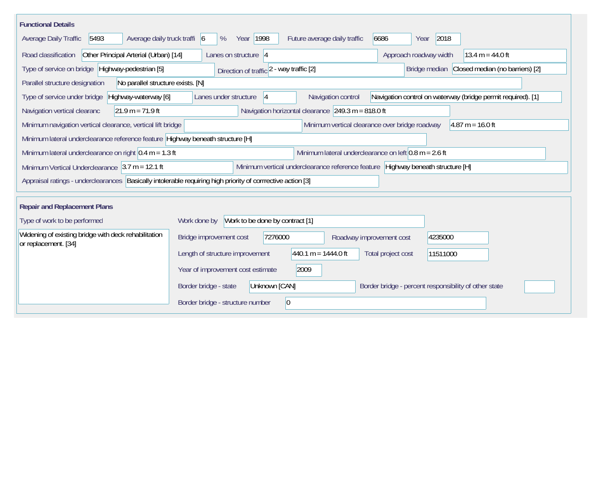| <b>Functional Details</b>                                                                                     |                                                                                                                   |
|---------------------------------------------------------------------------------------------------------------|-------------------------------------------------------------------------------------------------------------------|
| 5493<br>Average daily truck traffi 6<br>Average Daily Traffic                                                 | 2018<br>Year 1998<br>6686<br>Future average daily traffic<br>%<br>Year                                            |
| Other Principal Arterial (Urban) [14]<br>Road classification                                                  | Lanes on structure $ 4$<br>Approach roadway width<br>13.4 $m = 44.0$ ft                                           |
| Type of service on bridge Highway-pedestrian [5]                                                              | Closed median (no barriers) [2]<br>Direction of traffic 2 - way traffic [2]<br>Bridge median                      |
| Parallel structure designation<br>No parallel structure exists. [N]                                           |                                                                                                                   |
| Highway-waterway [6]<br>Type of service under bridge                                                          | Navigation control on waterway (bridge permit required). [1]<br>Lanes under structure<br>Navigation control<br> 4 |
| $21.9 m = 71.9 ft$<br>Navigation vertical clearanc                                                            | Navigation horizontal clearance $249.3 \text{ m} = 818.0 \text{ ft}$                                              |
| Minimum navigation vertical clearance, vertical lift bridge                                                   | Minimum vertical clearance over bridge roadway<br>$ 4.87 \text{ m} = 16.0 \text{ ft} $                            |
| Minimum lateral underclearance reference feature Highway beneath structure [H]                                |                                                                                                                   |
| Minimum lateral underclearance on right $0.4$ m = 1.3 ft                                                      | Minimum lateral underclearance on left $0.8$ m = 2.6 ft                                                           |
| Minimum Vertical Underclearance $ 3.7 m = 12.1 ft$                                                            | Minimum vertical underclearance reference feature Highway beneath structure [H]                                   |
| Appraisal ratings - underclearances   Basically intolerable requiring high priority of corrrective action [3] |                                                                                                                   |
| <b>Repair and Replacement Plans</b>                                                                           |                                                                                                                   |
| Type of work to be performed                                                                                  | Work to be done by contract [1]<br>Work done by                                                                   |
| Widening of existing bridge with deck rehabilitation<br>or replacement. [34]                                  | Bridge improvement cost<br>7276000<br>4235000<br>Roadway improvement cost                                         |
|                                                                                                               | $440.1 m = 1444.0 ft$<br>Length of structure improvement<br>Total project cost<br>11511000                        |
|                                                                                                               | 2009<br>Year of improvement cost estimate                                                                         |
|                                                                                                               | Unknown [CAN]<br>Border bridge - percent responsibility of other state<br>Border bridge - state                   |
|                                                                                                               | $\vert 0 \vert$<br>Border bridge - structure number                                                               |